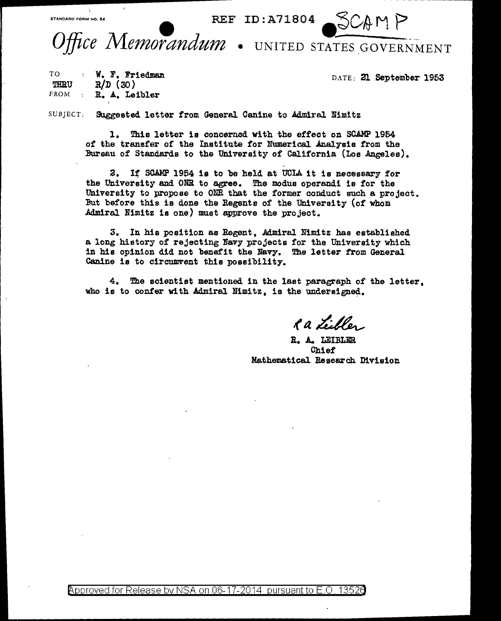Office Memorandum . UNITED STATES GOVERNMENT

"""~= *ro••* •O." • REF ID : A 718 0 4 • ";:;C,fd- M j>

TO TBRU  $FROM$ w. F. Friedman  $R/D(30)$ R. A. Leibler

DATE: 21 September 1953

SUBJECT: Suggested letter from General Canine to Admiral Nimitz

1. This letter is concerned with the effect on SCAMP 1954 of the transfer of the Institute for Numerical Analysis from the Bureau of Standards to the University of California (Los Angeles).

2. If SCAMP 1954 is to be held at UCIA it is necessary for the University and ONR to agree. The modus operandi is for the University to propose to ONR that the former conduct such a project. But before this is done the Regents of the University (of whom Admiral Nimitz is one) must approve the project.

3. In his position as Regent, Admiral Nimitz has established a long history of rejecting Navy projects for the University which in hie opinion did not benefit the Navy. The letter from General Canine is to circumvent this possibility.

4. The scientist mentioned in the last paragraph of the letter, who is to confer with Admiral Nimitz, is the undersigned.

Ra Libles

R. A. LEIBLER Chief Mathematical Research Division

@'pproved for Release by NSA on 06-17-2014 pursuantto E.O. 1352a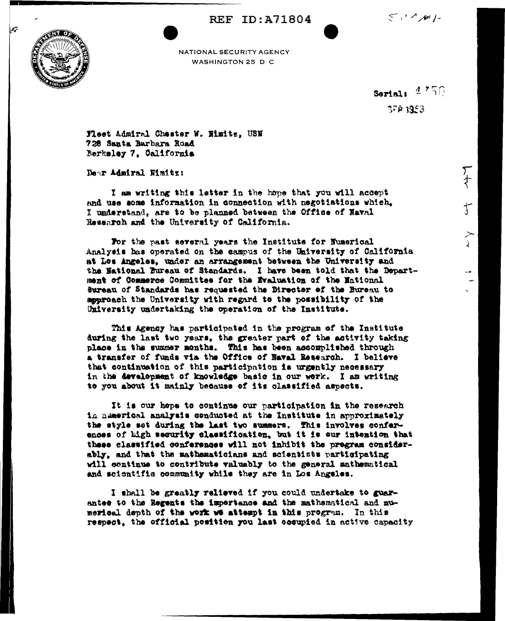**REF ID:A71804** 





NATIONAL SECURITY AGENCY WASHINGTON 25 D C

> Serial:  $4.750$ 57P 1953

> > )<br>{

 $\mathfrak{f}$ 

≻

Fleet Admiral Chester W. Himitz, USN 728 Santa Barbara Road Nerkeley 7, California

Dear Admiral Nimitz:

I am writing this letter in the hope that you will accept and use some information in connection with negotiations which. I understand, are to be planned between the Office of Haval Research and the University of California.

For the past several years the Institute for Numerical Analysis has operated on the sampus of the University of California at Los Angeles, under an arrangement between the University and the National Bureau of Standards. I have been told that the Department of Commerce Committee for the Evaluation of the Hational Sureau of Standards has requested the Director of the Bureau to approach the University with regard to the possibility of the University undertaking the operation of the Institute.

This Agency has participated in the program of the Institute during the last two years, the greater part of the activity taking place in the summer months. This has been accomplished through a transfer of funds via the Office of Naval Research. I believe that continuation of this participation is urgently necessary in the development of knowledge basic in our work. I am writing to you about it mainly because of its classified aspects.

It is our hope to continue our participation in the research is nemerical analysis conducted at the Institute in approximately the style set during the last two summers. This involves conferences of high security classification, but it is our intention that these classified conferences will not inhibit the pregram considerably, and that the mathematicians and scientists participating will continue to contribute valuably to the general mathematical and scientifis community while they are in Los Angeles.

I shall be greatly relieved if you could undertake to guarantee to the Regents the impertance and the mathematical and numerical depth of the work we attempt in this program. In this respect, the official position you last occupied in active capacity